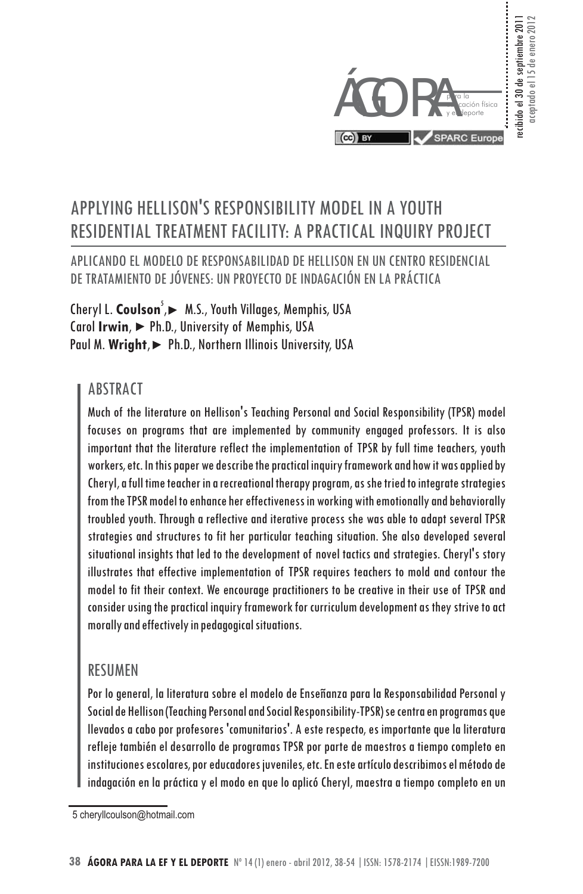

## APPLYING HELLISON'S RESPONSIBILITY MODEL IN A YOUTH RESIDENTIAL TREATMENT FACILITY: A PRACTICAL INQUIRY PROJECT

#### APLICANDO EL MODELO DE RESPONSABILIDAD DE HELLISON EN UN CENTRO RESIDENCIAL DE TRATAMIENTO DE JÓVENES: UN PROYECTO DE INDAGACIÓN EN LA PRÁCTICA

Cheryl L. Coulson<sup>5</sup>,► M.S., Youth Villages, Memphis, USA Carol Irwin, ▶ Ph.D., University of Memphis, USA Paul M. Wright, Ph.D., Northern Illinois University, USA

#### **ABSTRACT**

Much of the literature on Hellison's Teaching Personal and Social Responsibility (TPSR) model focuses on programs that are implemented by community engaged professors. It is also important that the literature reflect the implementation of TPSR by full time teachers, youth workers, etc. In this paper we describe the practical inquiry framework and how it was applied by Cheryl, a full time teacher in a recreational therapy program, as she tried to integrate strategies from the TPSR model to enhance her effectiveness in working with emotionally and behaviorally troubled youth. Through a reflective and iterative process she was able to adapt several TPSR strategies and structures to fit her particular teaching situation. She also developed several situational insights that led to the development of novel tactics and strategies. Cheryl's story illustrates that effective implementation of TPSR requires teachers to mold and contour the model to fit their context. We encourage practitioners to be creative in their use of TPSR and consider using the practical inquiry framework for curriculum development as they strive to act morally and effectively in pedagogical situations.

#### RESUMEN

Por lo general, la literatura sobre el modelo de Enseñanza para la Responsabilidad Personal y Social de Hellison (Teaching Personal and Social Responsibility-TPSR) se centra en programas que llevados a cabo por profesores 'comunitarios'. A este respecto, es importante que la literatura refleje también el desarrollo de programas TPSR por parte de maestros a tiempo completo en instituciones escolares, por educadores juveniles, etc. En este artículo describimos el método de indagación en la práctica y el modo en que lo aplicó Cheryl, maestra a tiempo completo en un

<sup>5</sup> cheryllcoulson@hotmail.com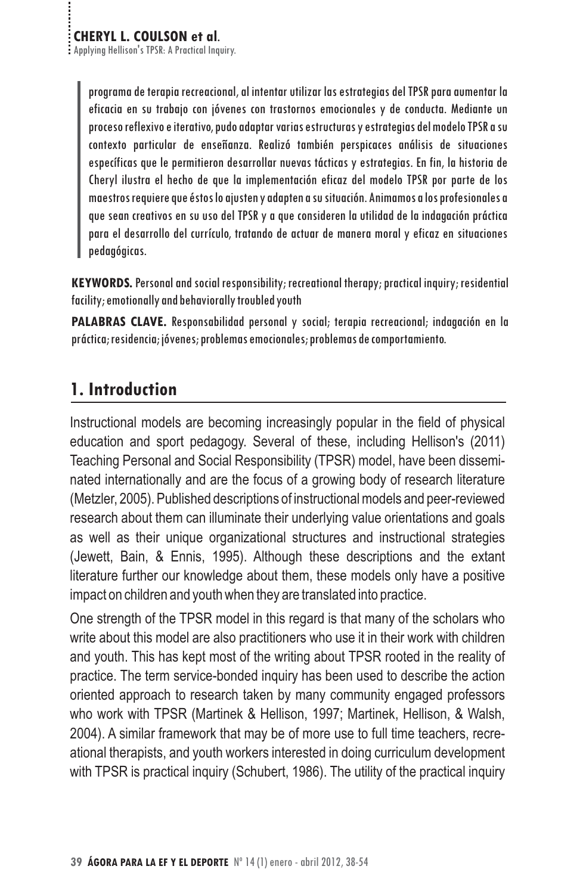programa de terapia recreacional, al intentar utilizar las estrategias del TPSR para aumentar la eficacia en su trabajo con jóvenes con trastornos emocionales y de conducta. Mediante un proceso reflexivo e iterativo, pudo adaptar varias estructuras y estrategias del modelo TPSR a su contexto particular de enseñanza. Realizó también perspicaces análisis de situaciones específicas que le permitieron desarrollar nuevas tácticas y estrategias. En fin, la historia de Cheryl ilustra el hecho de que la implementación eficaz del modelo TPSR por parte de los maestros requiere que éstos lo ajusten y adapten a su situación. Animamos a los profesionales a que sean creativos en su uso del TPSR y a que consideren la utilidad de la indagación práctica para el desarrollo del currículo, tratando de actuar de manera moral y eficaz en situaciones pedagógicas.

**KEYWORDS.** Personal and social responsibility; recreational therapy; practical inquiry; residential facility; emotionally and behaviorally troubled youth

PALABRAS CLAVE. Responsabilidad personal y social; terapia recreacional; indagación en la práctica; residencia; jóvenes; problemas emocionales; problemas de comportamiento.

## **1. Introduction**

Instructional models are becoming increasingly popular in the field of physical education and sport pedagogy. Several of these, including Hellison's (2011) Teaching Personal and Social Responsibility (TPSR) model, have been disseminated internationally and are the focus of a growing body of research literature (Metzler, 2005). Published descriptions of instructional models and peer-reviewed research about them can illuminate their underlying value orientations and goals as well as their unique organizational structures and instructional strategies (Jewett, Bain, & Ennis, 1995). Although these descriptions and the extant literature further our knowledge about them, these models only have a positive impact on children and youth when they are translated into practice.

One strength of the TPSR model in this regard is that many of the scholars who write about this model are also practitioners who use it in their work with children and youth. This has kept most of the writing about TPSR rooted in the reality of practice. The term service-bonded inquiry has been used to describe the action oriented approach to research taken by many community engaged professors who work with TPSR (Martinek & Hellison, 1997; Martinek, Hellison, & Walsh, 2004). A similar framework that may be of more use to full time teachers, recreational therapists, and youth workers interested in doing curriculum development with TPSR is practical inquiry (Schubert, 1986). The utility of the practical inquiry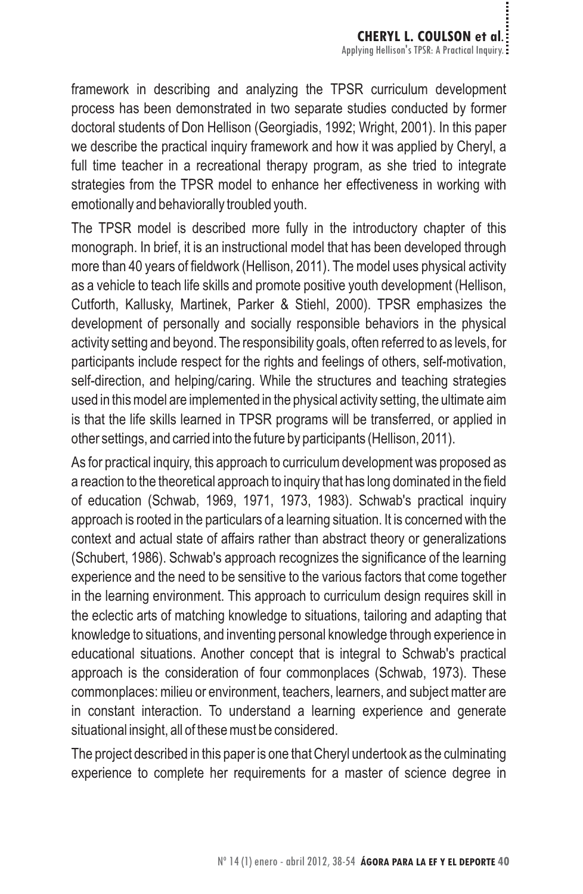framework in describing and analyzing the TPSR curriculum development process has been demonstrated in two separate studies conducted by former doctoral students of Don Hellison (Georgiadis, 1992; Wright, 2001). In this paper we describe the practical inquiry framework and how it was applied by Cheryl, a full time teacher in a recreational therapy program, as she tried to integrate strategies from the TPSR model to enhance her effectiveness in working with emotionally and behaviorally troubled youth.

The TPSR model is described more fully in the introductory chapter of this monograph. In brief, it is an instructional model that has been developed through more than 40 years of fieldwork (Hellison, 2011). The model uses physical activity as a vehicle to teach life skills and promote positive youth development (Hellison, Cutforth, Kallusky, Martinek, Parker & Stiehl, 2000). TPSR emphasizes the development of personally and socially responsible behaviors in the physical activity setting and beyond. The responsibility goals, often referred to as levels, for participants include respect for the rights and feelings of others, self-motivation, self-direction, and helping/caring. While the structures and teaching strategies used in this model are implemented in the physical activity setting, the ultimate aim is that the life skills learned in TPSR programs will be transferred, or applied in other settings, and carried into the future by participants (Hellison, 2011).

As for practical inquiry, this approach to curriculum development was proposed as a reaction to the theoretical approach to inquiry that has long dominated in the field of education (Schwab, 1969, 1971, 1973, 1983). Schwab's practical inquiry approach is rooted in the particulars of a learning situation. It is concerned with the context and actual state of affairs rather than abstract theory or generalizations (Schubert, 1986). Schwab's approach recognizes the significance of the learning experience and the need to be sensitive to the various factors that come together in the learning environment. This approach to curriculum design requires skill in the eclectic arts of matching knowledge to situations, tailoring and adapting that knowledge to situations, and inventing personal knowledge through experience in educational situations. Another concept that is integral to Schwab's practical approach is the consideration of four commonplaces (Schwab, 1973). These commonplaces: milieu or environment, teachers, learners, and subject matter are in constant interaction. To understand a learning experience and generate situational insight, all of these must be considered.

The project described in this paper is one that Cheryl undertook as the culminating experience to complete her requirements for a master of science degree in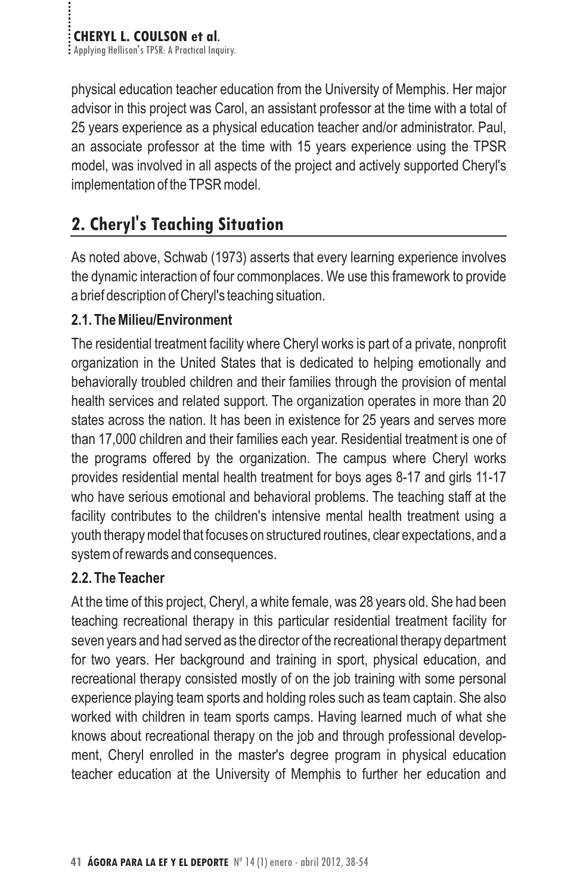physical education teacher education from the University of Memphis. Her major advisor in this project was Carol, an assistant professor at the time with a total of 25 years experience as a physical education teacher and/or administrator. Paul, an associate professor at the time with 15 years experience using the TPSR model, was involved in all aspects of the project and actively supported Cheryl's implementation of the TPSR model.

## **2. Cheryl's Teaching Situation**

As noted above, Schwab (1973) asserts that every learning experience involves the dynamic interaction of four commonplaces. We use this framework to provide a brief description of Cheryl's teaching situation.

#### 2.1. The Milieu/Environment

The residential treatment facility where Cheryl works is part of a private, nonprofit organization in the United States that is dedicated to helping emotionally and behaviorally troubled children and their families through the provision of mental health services and related support. The organization operates in more than 20 states across the nation. It has been in existence for 25 years and serves more than 17,000 children and their families each year. Residential treatment is one of the programs offered by the organization. The campus where Cheryl works provides residential mental health treatment for boys ages 8-17 and girls 11-17 who have serious emotional and behavioral problems. The teaching staff at the facility contributes to the children's intensive mental health treatment using a youth therapy model that focuses on structured routines, clear expectations, and a system of rewards and consequences. **2.1. The Milieu/Environment**

#### 2.2. The Teacher

At the time of this project, Cheryl, a white female, was 28 years old. She had been teaching recreational therapy in this particular residential treatment facility for seven years and had served as the director of the recreational therapy department for two years. Her background and training in sport, physical education, and recreational therapy consisted mostly of on the job training with some personal experience playing team sports and holding roles such as team captain. She also worked with children in team sports camps. Having learned much of what she knows about recreational therapy on the job and through professional development, Cheryl enrolled in the master's degree program in physical education teacher education at the University of Memphis to further her education and **2.2. The Teacher**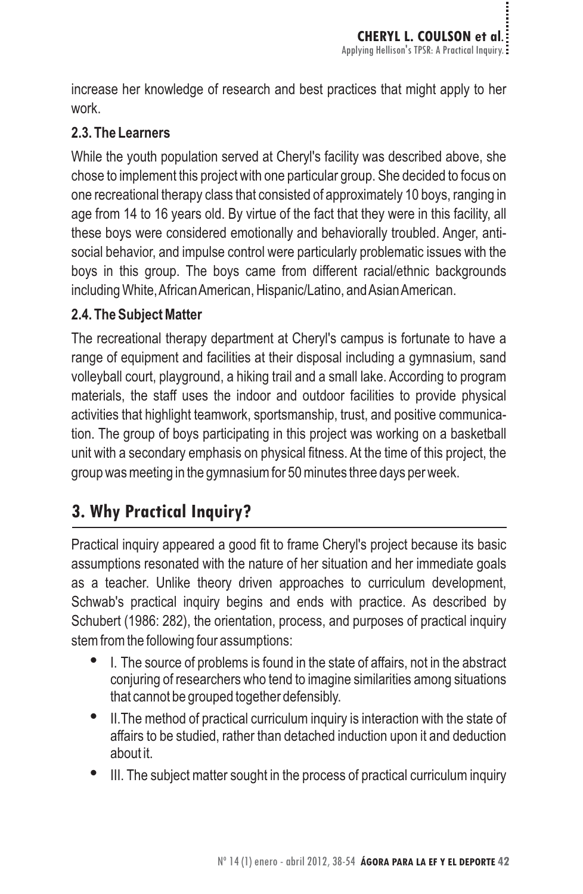increase her knowledge of research and best practices that might apply to her work.

#### 2.3. The Learners

While the youth population served at Cheryl's facility was described above, she chose to implement this project with one particular group. She decided to focus on one recreational therapy class that consisted of approximately 10 boys, ranging in age from 14 to 16 years old. By virtue of the fact that they were in this facility, all these boys were considered emotionally and behaviorally troubled. Anger, antisocial behavior, and impulse control were particularly problematic issues with the boys in this group. The boys came from different racial/ethnic backgrounds including White,AfricanAmerican, Hispanic/Latino, andAsianAmerican. **2.3. The Learners**

The recreational therapy department at Cheryl's campus is fortunate to have a range of equipment and facilities at their disposal including a gymnasium, sand volleyball court, playground, a hiking trail and a small lake. According to program materials, the staff uses the indoor and outdoor facilities to provide physical activities that highlight teamwork, sportsmanship, trust, and positive communication. The group of boys participating in this project was working on a basketball unit with a secondary emphasis on physical fitness. At the time of this project, the group was meeting in the gymnasium for 50 minutes three days per week. **2.4. The Subject Matter**

## **3. Why Practical Inquiry?**

Practical inquiry appeared a good fit to frame Cheryl's project because its basic assumptions resonated with the nature of her situation and her immediate goals as a teacher. Unlike theory driven approaches to curriculum development, Schwab's practical inquiry begins and ends with practice. As described by Schubert (1986: 282), the orientation, process, and purposes of practical inquiry stem from the following four assumptions:

- I. The source of problems is found in the state of affairs, not in the abstract conjuring of researchers who tend to imagine similarities among situations that cannot be grouped together defensibly. -
- II.The method of practical curriculum inquiry is interaction with the state of affairs to be studied, rather than detached induction upon it and deduction about it. -
- III. The subject matter sought in the process of practical curriculum inquiry -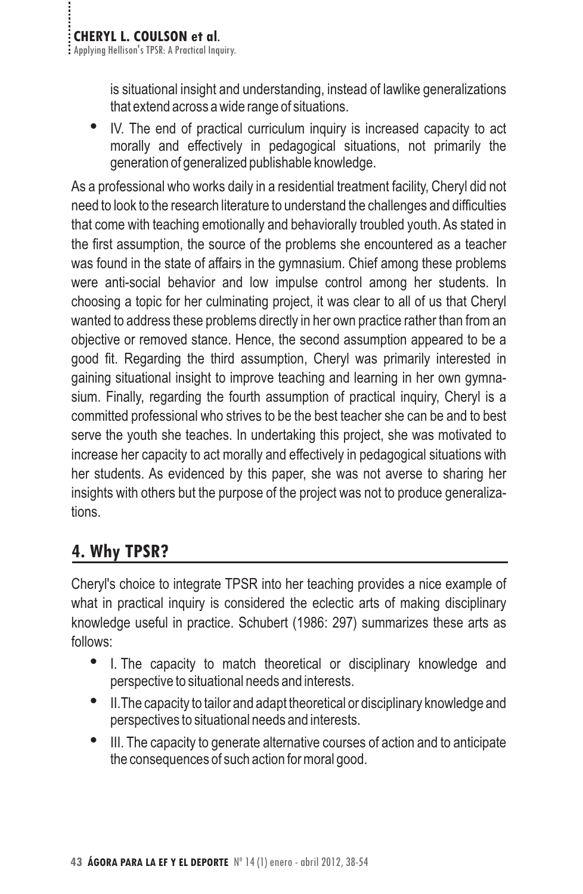is situational insight and understanding, instead of lawlike generalizations that extend across a wide range of situations.

IV. The end of practical curriculum inquiry is increased capacity to act morally and effectively in pedagogical situations, not primarily the generation of generalized publishable knowledge. -

As a professional who works daily in a residential treatment facility, Cheryl did not need to look to the research literature to understand the challenges and difficulties that come with teaching emotionally and behaviorally troubled youth. As stated in the first assumption, the source of the problems she encountered as a teacher was found in the state of affairs in the gymnasium. Chief among these problems were anti-social behavior and low impulse control among her students. In choosing a topic for her culminating project, it was clear to all of us that Cheryl wanted to address these problems directly in her own practice rather than from an objective or removed stance. Hence, the second assumption appeared to be a good fit. Regarding the third assumption, Cheryl was primarily interested in gaining situational insight to improve teaching and learning in her own gymnasium. Finally, regarding the fourth assumption of practical inquiry, Cheryl is a committed professional who strives to be the best teacher she can be and to best serve the youth she teaches. In undertaking this project, she was motivated to increase her capacity to act morally and effectively in pedagogical situations with her students. As evidenced by this paper, she was not averse to sharing her insights with others but the purpose of the project was not to produce generalizations.

## **4. Why TPSR?**

Cheryl's choice to integrate TPSR into her teaching provides a nice example of what in practical inquiry is considered the eclectic arts of making disciplinary knowledge useful in practice. Schubert (1986: 297) summarizes these arts as follows:

- I. The capacity to match theoretical or disciplinary knowledge and perspective to situational needs and interests. -
- II.The capacity to tailor and adapt theoretical or disciplinary knowledge and perspectives to situational needs and interests. -
- III. The capacity to generate alternative courses of action and to anticipate the consequences of such action for moral good. -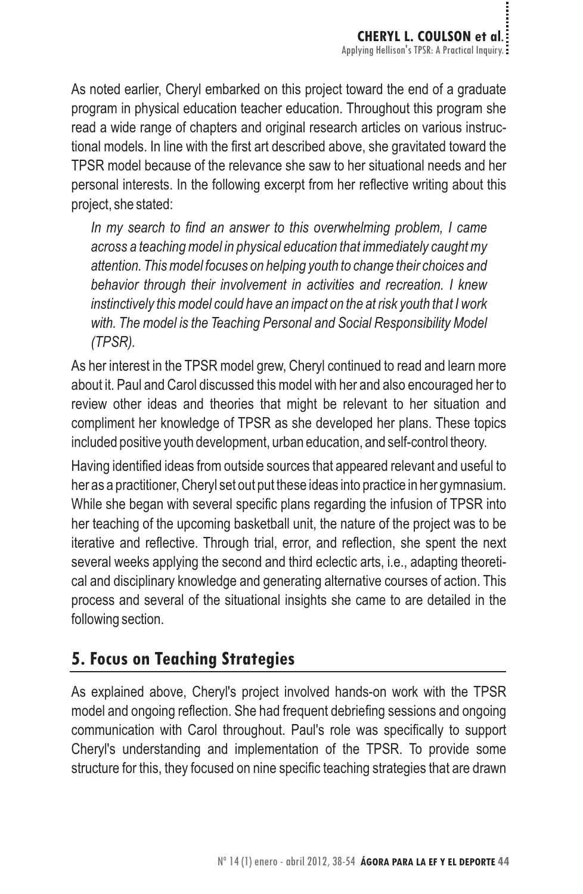As noted earlier, Cheryl embarked on this project toward the end of a graduate program in physical education teacher education. Throughout this program she read a wide range of chapters and original research articles on various instructional models. In line with the first art described above, she gravitated toward the TPSR model because of the relevance she saw to her situational needs and her personal interests. In the following excerpt from her reflective writing about this project, she stated:

*In my search to find an answer to this overwhelming problem, I came across a teaching model in physical education that immediately caught my attention. This model focuses on helping youth to change their choices and behavior through their involvement in activities and recreation. I knew instinctively this model could have an impact on the at risk youth that I work with. The model is the Teaching Personal and Social Responsibility Model (TPSR).*

As her interest in the TPSR model grew, Cheryl continued to read and learn more about it. Paul and Carol discussed this model with her and also encouraged her to review other ideas and theories that might be relevant to her situation and compliment her knowledge of TPSR as she developed her plans. These topics included positive youth development, urban education, and self-control theory.

Having identified ideas from outside sources that appeared relevant and useful to her as a practitioner, Cheryl set out put these ideas into practice in her gymnasium. While she began with several specific plans regarding the infusion of TPSR into her teaching of the upcoming basketball unit, the nature of the project was to be iterative and reflective. Through trial, error, and reflection, she spent the next several weeks applying the second and third eclectic arts, i.e., adapting theoretical and disciplinary knowledge and generating alternative courses of action. This process and several of the situational insights she came to are detailed in the following section.

## **5. Focus on Teaching Strategies**

As explained above, Cheryl's project involved hands-on work with the TPSR model and ongoing reflection. She had frequent debriefing sessions and ongoing communication with Carol throughout. Paul's role was specifically to support Cheryl's understanding and implementation of the TPSR. To provide some structure for this, they focused on nine specific teaching strategies that are drawn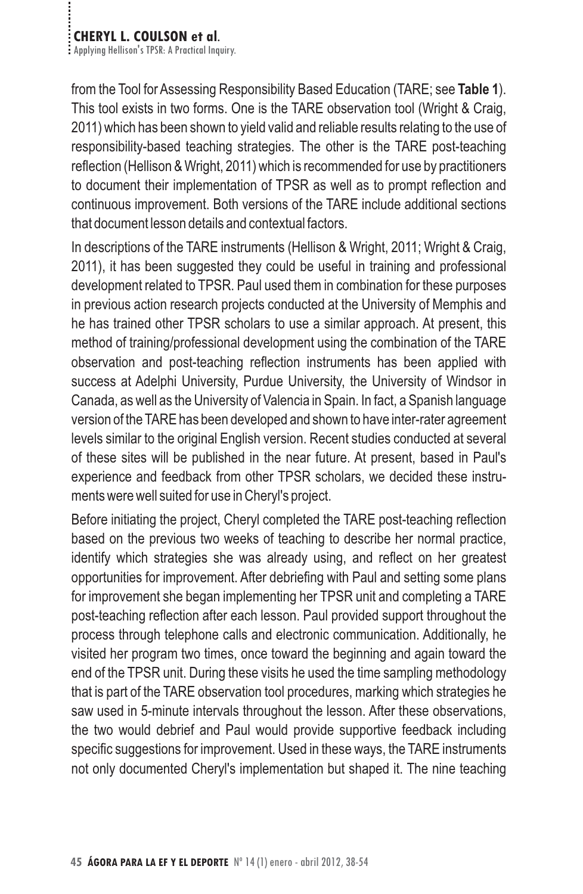# **CHERYL L. COULSON et al.**<br>**Examplying Hellison's TPSR: A Practical Inquiry.**

from the Tool for Assessing Responsibility Based Education (TARE; see Table 1). This tool exists in two forms. One is the TARE observation tool (Wright & Craig, 2011) which has been shown to yield valid and reliable results relating to the use of responsibility-based teaching strategies. The other is the TARE post-teaching reflection (Hellison & Wright, 2011) which is recommended for use by practitioners to document their implementation of TPSR as well as to prompt reflection and continuous improvement. Both versions of the TARE include additional sections that document lesson details and contextual factors.

In descriptions of the TARE instruments (Hellison & Wright, 2011; Wright & Craig, 2011), it has been suggested they could be useful in training and professional development related to TPSR. Paul used them in combination for these purposes in previous action research projects conducted at the University of Memphis and he has trained other TPSR scholars to use a similar approach. At present, this method of training/professional development using the combination of the TARE observation and post-teaching reflection instruments has been applied with success at Adelphi University, Purdue University, the University of Windsor in Canada, as well as the University of Valencia in Spain. In fact, a Spanish language version of the TARE has been developed and shown to have inter-rater agreement levels similar to the original English version. Recent studies conducted at several of these sites will be published in the near future. At present, based in Paul's experience and feedback from other TPSR scholars, we decided these instruments were well suited for use in Cheryl's project.

Before initiating the project, Cheryl completed the TARE post-teaching reflection based on the previous two weeks of teaching to describe her normal practice, identify which strategies she was already using, and reflect on her greatest opportunities for improvement. After debriefing with Paul and setting some plans for improvement she began implementing her TPSR unit and completing a TARE post-teaching reflection after each lesson. Paul provided support throughout the process through telephone calls and electronic communication. Additionally, he visited her program two times, once toward the beginning and again toward the end of the TPSR unit. During these visits he used the time sampling methodology that is part of the TARE observation tool procedures, marking which strategies he saw used in 5-minute intervals throughout the lesson. After these observations, the two would debrief and Paul would provide supportive feedback including specific suggestions for improvement. Used in these ways, the TARE instruments not only documented Cheryl's implementation but shaped it. The nine teaching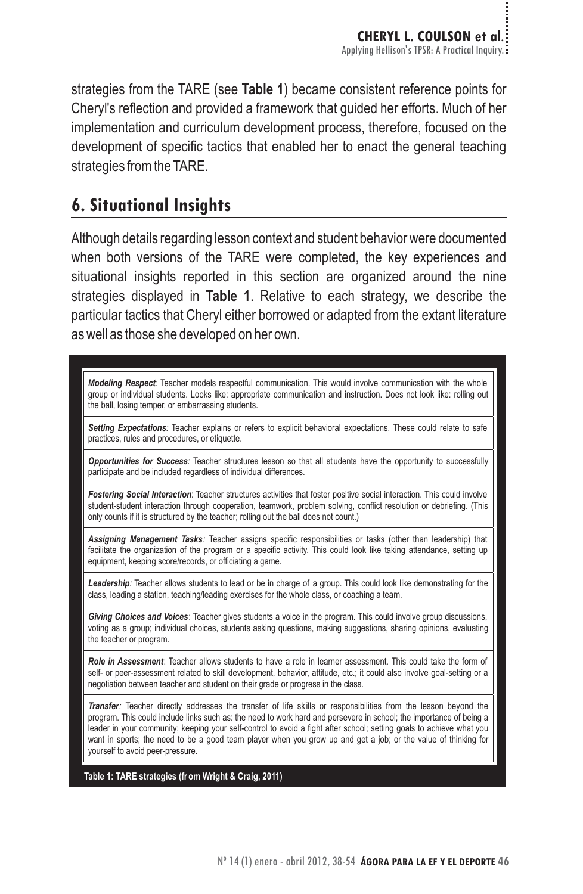strategies from the TARE (see Table 1) became consistent reference points for Cheryl's reflection and provided a framework that guided her efforts. Much of her **Table 1** implementation and curriculum development process, therefore, focused on the development of specific tactics that enabled her to enact the general teaching strategies from the TARE.

## **6. Situational Insights**

Although details regarding lesson context and student behavior were documented when both versions of the TARE were completed, the key experiences and situational insights reported in this section are organized around the nine strategies displayed in **Table 1**. Relative to each strategy, we describe the particular tactics that Cheryl either borrowed or adapted from the extant literature as well as those she developed on her own.

*Modeling Respect:* Teacher models respectful communication. This would involve communication with the whole group or individual students. Looks like: appropriate communication and instruction. Does not look like: rolling out the ball, losing temper, or embarrassing students.

*Setting Expectations:* Teacher explains or refers to explicit behavioral expectations. These could relate to safe practices, rules and procedures, or etiquette.

*Opportunities for Success:* Teacher structures lesson so that all students have the opportunity to successfully participate and be included regardless of individual differences.

*Fostering Social Interaction*: Teacher structures activities that foster positive social interaction. This could involve student-student interaction through cooperation, teamwork, problem solving, conflict resolution or debriefing. (This only counts if it is structured by the teacher; rolling out the ball does not count.)

*Assigning Management Tasks:* Teacher assigns specific responsibilities or tasks (other than leadership) that facilitate the organization of the program or a specific activity. This could look like taking attendance, setting up equipment, keeping score/records, or officiating a game.

*Leadership:* Teacher allows students to lead or be in charge of a group. This could look like demonstrating for the class, leading a station, teaching/leading exercises for the whole class, or coaching a team.

*Giving Choices and Voices*: Teacher gives students a voice in the program. This could involve group discussions, voting as a group; individual choices, students asking questions, making suggestions, sharing opinions, evaluating the teacher or program.

*Role in Assessment*: Teacher allows students to have a role in learner assessment. This could take the form of self- or peer-assessment related to skill development, behavior, attitude, etc.; it could also involve goal-setting or a negotiation between teacher and student on their grade or progress in the class.

*Transfer:* Teacher directly addresses the transfer of life skills or responsibilities from the lesson beyond the program. This could include links such as: the need to work hard and persevere in school; the importance of being a leader in your community; keeping your self-control to avoid a fight after school; setting goals to achieve what you want in sports; the need to be a good team player when you grow up and get a job; or the value of thinking for yourself to avoid peer-pressure.

**Table 1: TARE strategies (fr om Wright & Craig, 2011)**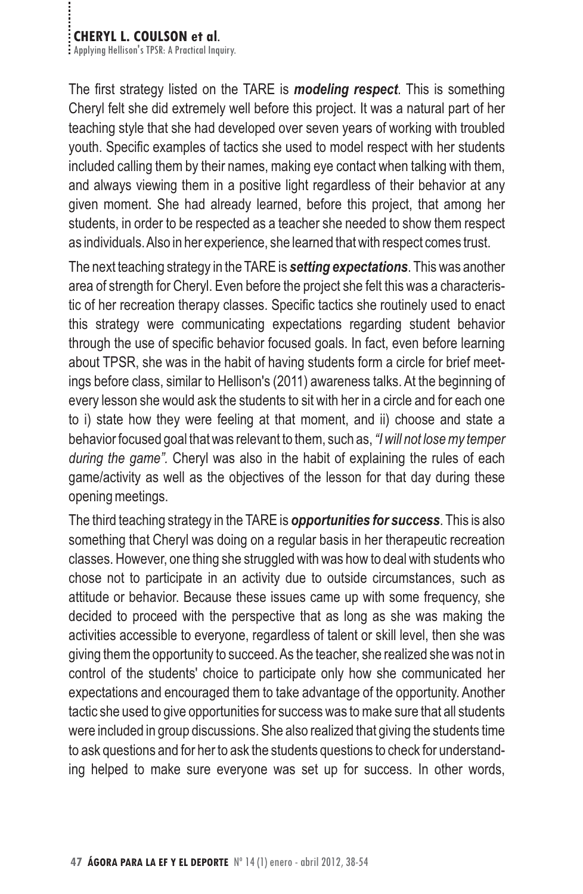# **CHERYL L. COULSON et al.**<br>**Applying Hellison's TPSR: A Practical Inquiry.**

The first strategy listed on the TARE is *modeling respect*. This is something Cheryl felt she did extremely well before this project. It was a natural part of her teaching style that she had developed over seven years of working with troubled youth. Specific examples of tactics she used to model respect with her students included calling them by their names, making eye contact when talking with them, and always viewing them in a positive light regardless of their behavior at any given moment. She had already learned, before this project, that among her students, in order to be respected as a teacher she needed to show them respect as individuals.Also in her experience, she learned that with respect comes trust.

The next teaching strategy in the TARE is **setting expectations**. This was another area of strength for Cheryl. Even before the project she felt this was a characteristic of her recreation therapy classes. Specific tactics she routinely used to enact this strategy were communicating expectations regarding student behavior through the use of specific behavior focused goals. In fact, even before learning about TPSR, she was in the habit of having students form a circle for brief meetings before class, similar to Hellison's (2011) awareness talks. At the beginning of every lesson she would ask the students to sit with her in a circle and for each one to i) state how they were feeling at that moment, and ii) choose and state a behavior focused goal that was relevant to them, such as, *"I will not lose my temper* during the game". Cheryl was also in the habit of explaining the rules of each game/activity as well as the objectives of the lesson for that day during these opening meetings.

The third teaching strategy in the TARE is **opportunities for success**. This is also something that Cheryl was doing on a regular basis in her therapeutic recreation classes. However, one thing she struggled with was how to deal with students who chose not to participate in an activity due to outside circumstances, such as attitude or behavior. Because these issues came up with some frequency, she decided to proceed with the perspective that as long as she was making the activities accessible to everyone, regardless of talent or skill level, then she was giving them the opportunity to succeed.As the teacher, she realized she was not in control of the students' choice to participate only how she communicated her expectations and encouraged them to take advantage of the opportunity. Another tactic she used to give opportunities for success was to make sure that all students were included in group discussions. She also realized that giving the students time to ask questions and for her to ask the students questions to check for understanding helped to make sure everyone was set up for success. In other words,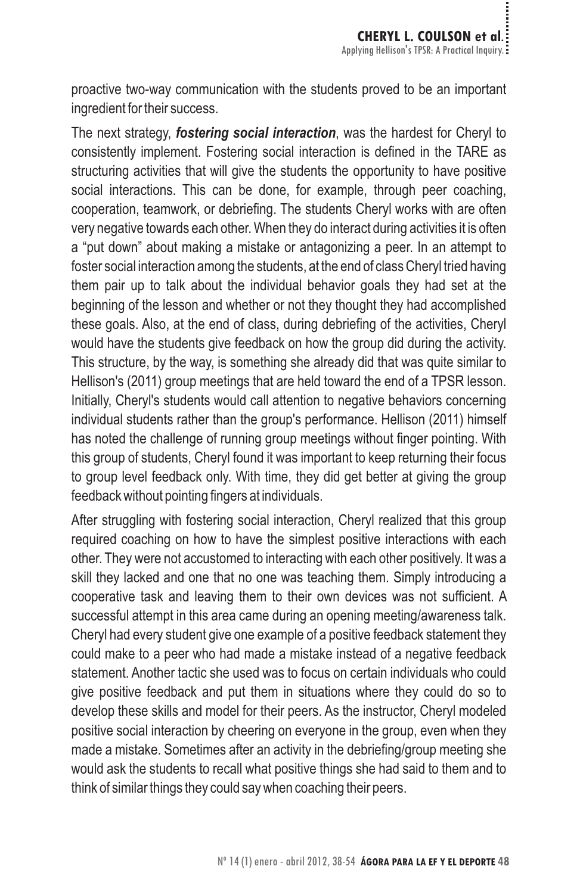proactive two-way communication with the students proved to be an important ingredient for their success.

The next strategy, *fostering social interaction*, was the hardest for Cheryl to consistently implement. Fostering social interaction is defined in the TARE as structuring activities that will give the students the opportunity to have positive social interactions. This can be done, for example, through peer coaching, cooperation, teamwork, or debriefing. The students Cheryl works with are often very negative towards each other. When they do interact during activities it is often a "put down" about making a mistake or antagonizing a peer. In an attempt to foster social interaction among the students, at the end of class Cheryl tried having them pair up to talk about the individual behavior goals they had set at the beginning of the lesson and whether or not they thought they had accomplished these goals. Also, at the end of class, during debriefing of the activities, Cheryl would have the students give feedback on how the group did during the activity. This structure, by the way, is something she already did that was quite similar to Hellison's (2011) group meetings that are held toward the end of a TPSR lesson. Initially, Cheryl's students would call attention to negative behaviors concerning individual students rather than the group's performance. Hellison (2011) himself has noted the challenge of running group meetings without finger pointing. With this group of students, Cheryl found it was important to keep returning their focus to group level feedback only. With time, they did get better at giving the group feedback without pointing fingers at individuals.

After struggling with fostering social interaction, Cheryl realized that this group required coaching on how to have the simplest positive interactions with each other. They were not accustomed to interacting with each other positively. It was a skill they lacked and one that no one was teaching them. Simply introducing a cooperative task and leaving them to their own devices was not sufficient. A successful attempt in this area came during an opening meeting/awareness talk. Cheryl had every student give one example of a positive feedback statement they could make to a peer who had made a mistake instead of a negative feedback statement. Another tactic she used was to focus on certain individuals who could give positive feedback and put them in situations where they could do so to develop these skills and model for their peers. As the instructor, Cheryl modeled positive social interaction by cheering on everyone in the group, even when they made a mistake. Sometimes after an activity in the debriefing/group meeting she would ask the students to recall what positive things she had said to them and to think of similar things they could say when coaching their peers.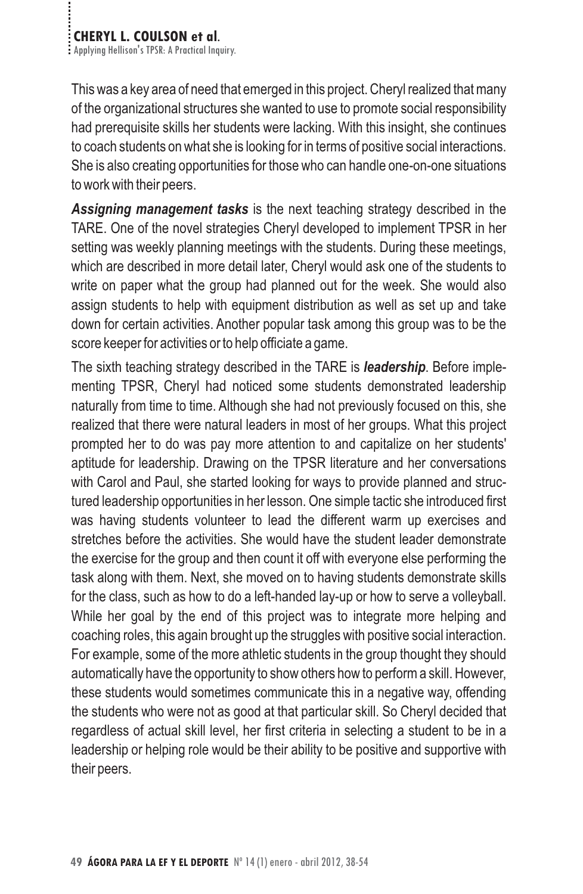This was a key area of need that emerged in this project. Cheryl realized that many of the organizational structures she wanted to use to promote social responsibility had prerequisite skills her students were lacking. With this insight, she continues to coach students on what she is looking for in terms of positive social interactions. She is also creating opportunities for those who can handle one-on-one situations to work with their peers.

Assigning management tasks is the next teaching strategy described in the TARE. One of the novel strategies Cheryl developed to implement TPSR in her setting was weekly planning meetings with the students. During these meetings, which are described in more detail later, Cheryl would ask one of the students to write on paper what the group had planned out for the week. She would also assign students to help with equipment distribution as well as set up and take down for certain activities. Another popular task among this group was to be the score keeper for activities or to help officiate a game.

The sixth teaching strategy described in the TARE is *leadership*. Before implementing TPSR, Cheryl had noticed some students demonstrated leadership naturally from time to time. Although she had not previously focused on this, she realized that there were natural leaders in most of her groups. What this project prompted her to do was pay more attention to and capitalize on her students' aptitude for leadership. Drawing on the TPSR literature and her conversations with Carol and Paul, she started looking for ways to provide planned and structured leadership opportunities in her lesson. One simple tactic she introduced first was having students volunteer to lead the different warm up exercises and stretches before the activities. She would have the student leader demonstrate the exercise for the group and then count it off with everyone else performing the task along with them. Next, she moved on to having students demonstrate skills for the class, such as how to do a left-handed lay-up or how to serve a volleyball. While her goal by the end of this project was to integrate more helping and coaching roles, this again brought up the struggles with positive social interaction. For example, some of the more athletic students in the group thought they should automatically have the opportunity to show others how to perform a skill. However, these students would sometimes communicate this in a negative way, offending the students who were not as good at that particular skill. So Cheryl decided that regardless of actual skill level, her first criteria in selecting a student to be in a leadership or helping role would be their ability to be positive and supportive with their peers.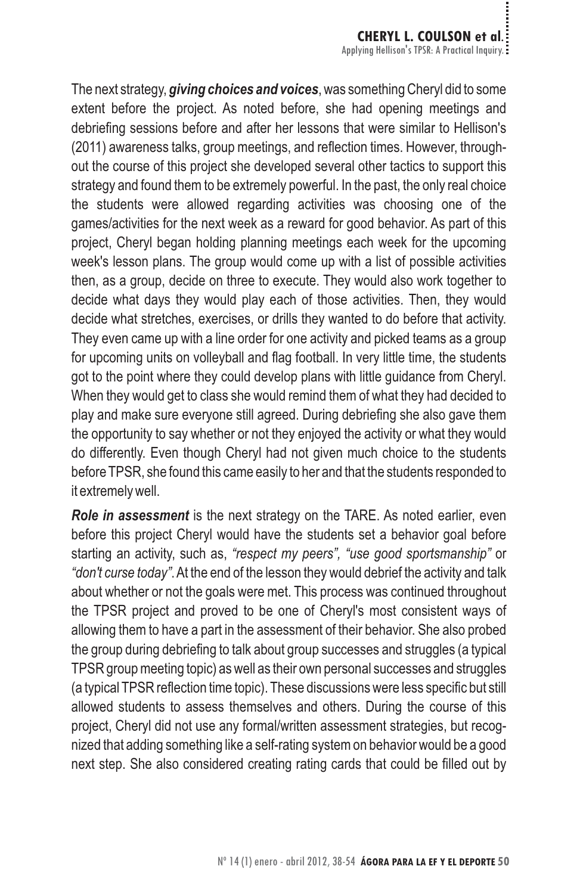The next strategy, **giving choices and voices**, was something Cheryl did to some extent before the project. As noted before, she had opening meetings and debriefing sessions before and after her lessons that were similar to Hellison's (2011) awareness talks, group meetings, and reflection times. However, throughout the course of this project she developed several other tactics to support this strategy and found them to be extremely powerful. In the past, the only real choice the students were allowed regarding activities was choosing one of the games/activities for the next week as a reward for good behavior. As part of this project, Cheryl began holding planning meetings each week for the upcoming week's lesson plans. The group would come up with a list of possible activities then, as a group, decide on three to execute. They would also work together to decide what days they would play each of those activities. Then, they would decide what stretches, exercises, or drills they wanted to do before that activity. They even came up with a line order for one activity and picked teams as a group for upcoming units on volleyball and flag football. In very little time, the students got to the point where they could develop plans with little guidance from Cheryl. When they would get to class she would remind them of what they had decided to play and make sure everyone still agreed. During debriefing she also gave them the opportunity to say whether or not they enjoyed the activity or what they would do differently. Even though Cheryl had not given much choice to the students before TPSR, she found this came easily to her and that the students responded to it extremely well.

Role in assessment is the next strategy on the TARE. As noted earlier, even before this project Cheryl would have the students set a behavior goal before starting an activity, such as, "respect my peers", "use good sportsmanship" or "don't curse today". At the end of the lesson they would debrief the activity and talk about whether or not the goals were met. This process was continued throughout the TPSR project and proved to be one of Cheryl's most consistent ways of allowing them to have a part in the assessment of their behavior. She also probed the group during debriefing to talk about group successes and struggles (a typical TPSR group meeting topic) as well as their own personal successes and struggles (a typical TPSR reflection time topic). These discussions were less specific but still allowed students to assess themselves and others. During the course of this project, Cheryl did not use any formal/written assessment strategies, but recognized that adding something like a self-rating system on behavior would be a good next step. She also considered creating rating cards that could be filled out by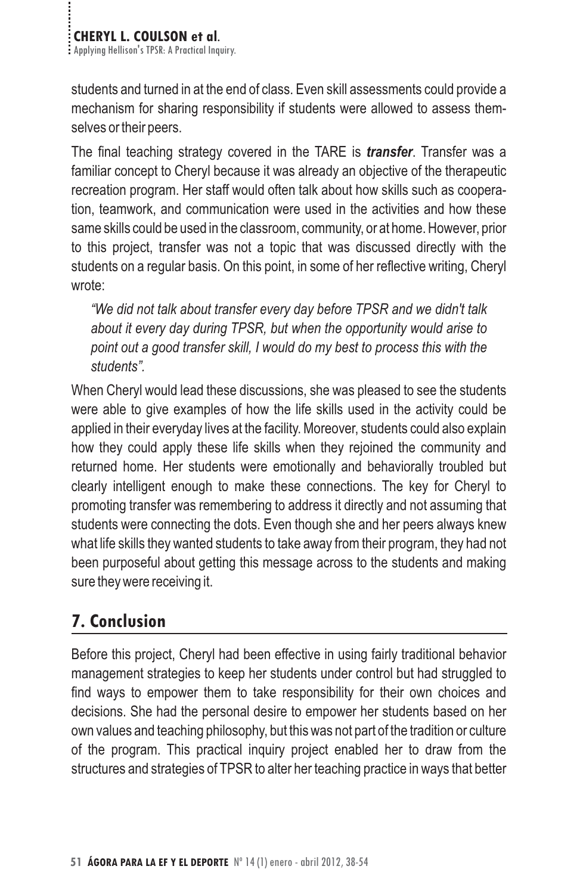students and turned in at the end of class. Even skill assessments could provide a mechanism for sharing responsibility if students were allowed to assess themselves or their peers.

The final teaching strategy covered in the TARE is *transfer*. Transfer was a familiar concept to Cheryl because it was already an objective of the therapeutic recreation program. Her staff would often talk about how skills such as cooperation, teamwork, and communication were used in the activities and how these same skills could be used in the classroom, community, or at home. However, prior to this project, transfer was not a topic that was discussed directly with the students on a regular basis. On this point, in some of her reflective writing, Cheryl wrote:

*"We did not talk about transfer every day before TPSR and we didn't talk about it every day during TPSR, but when the opportunity would arise to point out a good transfer skill, I would do my best to process this with the students".*

When Cheryl would lead these discussions, she was pleased to see the students were able to give examples of how the life skills used in the activity could be applied in their everyday lives at the facility. Moreover, students could also explain how they could apply these life skills when they rejoined the community and returned home. Her students were emotionally and behaviorally troubled but clearly intelligent enough to make these connections. The key for Cheryl to promoting transfer was remembering to address it directly and not assuming that students were connecting the dots. Even though she and her peers always knew what life skills they wanted students to take away from their program, they had not been purposeful about getting this message across to the students and making sure they were receiving it.

## **7. Conclusion**

Before this project, Cheryl had been effective in using fairly traditional behavior management strategies to keep her students under control but had struggled to find ways to empower them to take responsibility for their own choices and decisions. She had the personal desire to empower her students based on her own values and teaching philosophy, but this was not part of the tradition or culture of the program. This practical inquiry project enabled her to draw from the structures and strategies of TPSR to alter her teaching practice in ways that better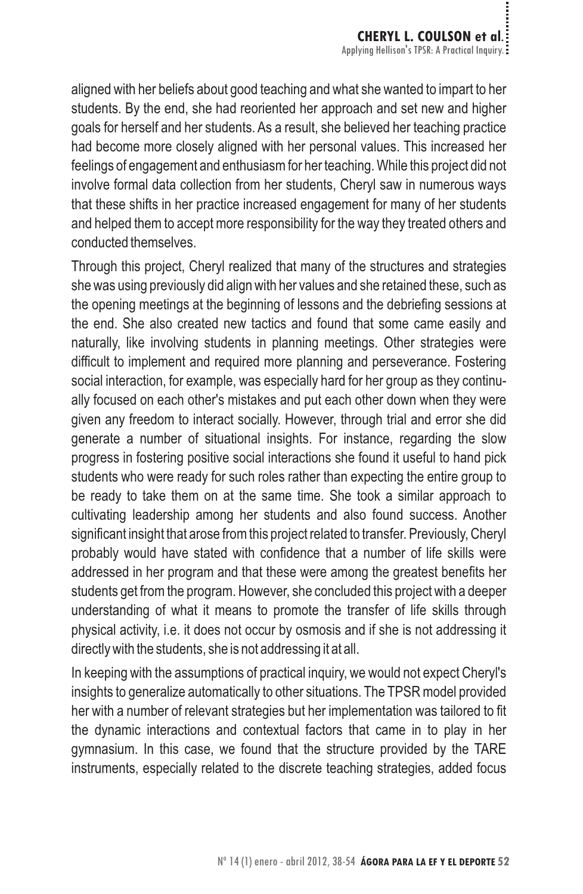aligned with her beliefs about good teaching and what she wanted to impart to her students. By the end, she had reoriented her approach and set new and higher goals for herself and her students. As a result, she believed her teaching practice had become more closely aligned with her personal values. This increased her feelings of engagement and enthusiasm for her teaching. While this project did not involve formal data collection from her students, Cheryl saw in numerous ways that these shifts in her practice increased engagement for many of her students and helped them to accept more responsibility for the way they treated others and conducted themselves.

Through this project, Cheryl realized that many of the structures and strategies she was using previously did align with her values and she retained these, such as the opening meetings at the beginning of lessons and the debriefing sessions at the end. She also created new tactics and found that some came easily and naturally, like involving students in planning meetings. Other strategies were difficult to implement and required more planning and perseverance. Fostering social interaction, for example, was especially hard for her group as they continually focused on each other's mistakes and put each other down when they were given any freedom to interact socially. However, through trial and error she did generate a number of situational insights. For instance, regarding the slow progress in fostering positive social interactions she found it useful to hand pick students who were ready for such roles rather than expecting the entire group to be ready to take them on at the same time. She took a similar approach to cultivating leadership among her students and also found success. Another significant insight that arose from this project related to transfer. Previously, Cheryl probably would have stated with confidence that a number of life skills were addressed in her program and that these were among the greatest benefits her students get from the program. However, she concluded this project with a deeper understanding of what it means to promote the transfer of life skills through physical activity, i.e. it does not occur by osmosis and if she is not addressing it directly with the students, she is not addressing it at all.

In keeping with the assumptions of practical inquiry, we would not expect Cheryl's insights to generalize automatically to other situations. The TPSR model provided her with a number of relevant strategies but her implementation was tailored to fit the dynamic interactions and contextual factors that came in to play in her gymnasium. In this case, we found that the structure provided by the TARE instruments, especially related to the discrete teaching strategies, added focus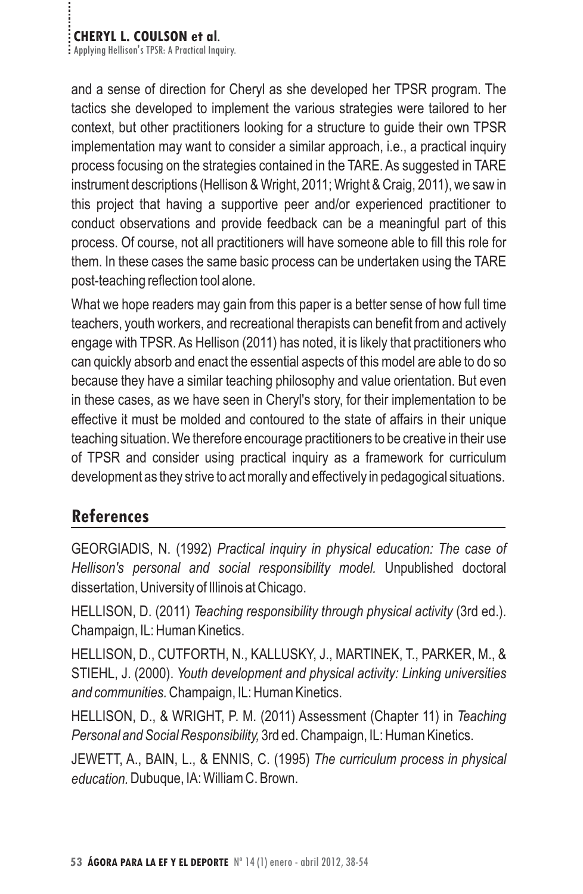# **CHERYL L. COULSON et al.**<br>**Examplying Hellison's TPSR: A Practical Inquiry.**

and a sense of direction for Cheryl as she developed her TPSR program. The tactics she developed to implement the various strategies were tailored to her context, but other practitioners looking for a structure to guide their own TPSR implementation may want to consider a similar approach, i.e., a practical inquiry process focusing on the strategies contained in the TARE. As suggested in TARE instrument descriptions (Hellison & Wright, 2011; Wright & Craig, 2011), we saw in this project that having a supportive peer and/or experienced practitioner to conduct observations and provide feedback can be a meaningful part of this process. Of course, not all practitioners will have someone able to fill this role for them. In these cases the same basic process can be undertaken using the TARE post-teaching reflection tool alone.

What we hope readers may gain from this paper is a better sense of how full time teachers, youth workers, and recreational therapists can benefit from and actively engage with TPSR. As Hellison (2011) has noted, it is likely that practitioners who can quickly absorb and enact the essential aspects of this model are able to do so because they have a similar teaching philosophy and value orientation. But even in these cases, as we have seen in Cheryl's story, for their implementation to be effective it must be molded and contoured to the state of affairs in their unique teaching situation. We therefore encourage practitioners to be creative in their use of TPSR and consider using practical inquiry as a framework for curriculum development as they strive to act morally and effectively in pedagogical situations.

#### **References**

GEORGIADIS, N. (1992) *Practical inquiry in physical education: The case of* Hellison's personal and social responsibility model. Unpublished doctoral dissertation, University of Illinois at Chicago.

HELLISON, D. (2011) Teaching responsibility through physical activity (3rd ed.). Champaign, IL: Human Kinetics.

HELLISON, D., CUTFORTH, N., KALLUSKY, J., MARTINEK, T., PARKER, M., & STIEHL, J. (2000). *Youth development and physical activity: Linking universities* and communities. Champaign, IL: Human Kinetics.

HELLISON, D., & WRIGHT, P. M. (2011) Assessment (Chapter 11) in *Teaching* Personal and Social Responsibility, 3rd ed. Champaign, IL: Human Kinetics.

JEWETT, A., BAIN, L., & ENNIS, C. (1995) *The curriculum process in physical* education. Dubuque, IA: William C. Brown.